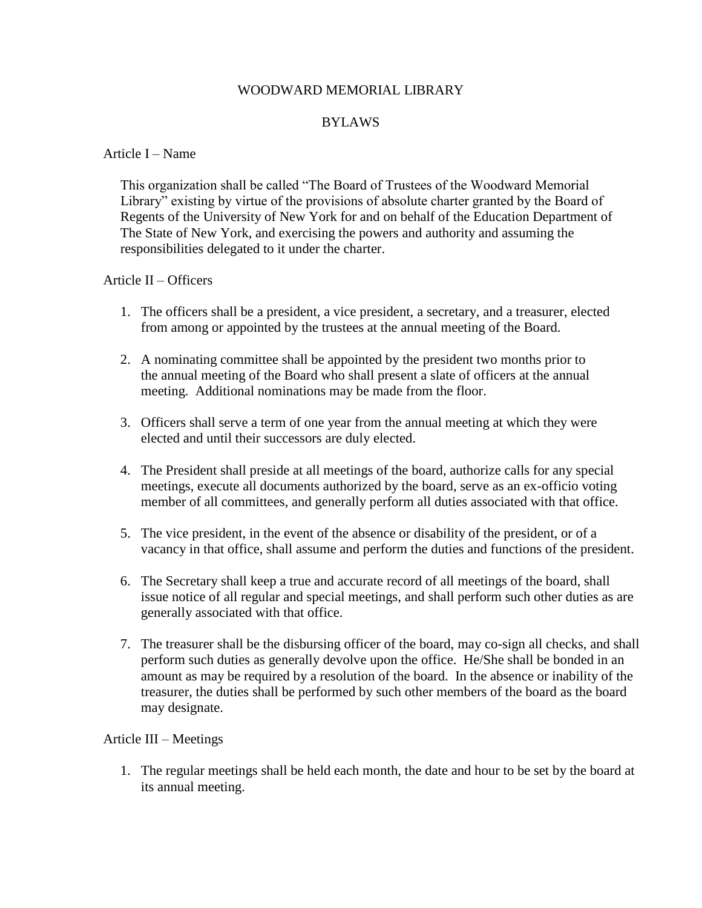# WOODWARD MEMORIAL LIBRARY

# BYLAWS

#### Article I – Name

 This organization shall be called "The Board of Trustees of the Woodward Memorial Library" existing by virtue of the provisions of absolute charter granted by the Board of Regents of the University of New York for and on behalf of the Education Department of The State of New York, and exercising the powers and authority and assuming the responsibilities delegated to it under the charter.

# Article II – Officers

- 1. The officers shall be a president, a vice president, a secretary, and a treasurer, elected from among or appointed by the trustees at the annual meeting of the Board.
- 2. A nominating committee shall be appointed by the president two months prior to the annual meeting of the Board who shall present a slate of officers at the annual meeting. Additional nominations may be made from the floor.
- 3. Officers shall serve a term of one year from the annual meeting at which they were elected and until their successors are duly elected.
- 4. The President shall preside at all meetings of the board, authorize calls for any special meetings, execute all documents authorized by the board, serve as an ex-officio voting member of all committees, and generally perform all duties associated with that office.
- 5. The vice president, in the event of the absence or disability of the president, or of a vacancy in that office, shall assume and perform the duties and functions of the president.
- 6. The Secretary shall keep a true and accurate record of all meetings of the board, shall issue notice of all regular and special meetings, and shall perform such other duties as are generally associated with that office.
- 7. The treasurer shall be the disbursing officer of the board, may co-sign all checks, and shall perform such duties as generally devolve upon the office. He/She shall be bonded in an amount as may be required by a resolution of the board. In the absence or inability of the treasurer, the duties shall be performed by such other members of the board as the board may designate.

# Article III – Meetings

1. The regular meetings shall be held each month, the date and hour to be set by the board at its annual meeting.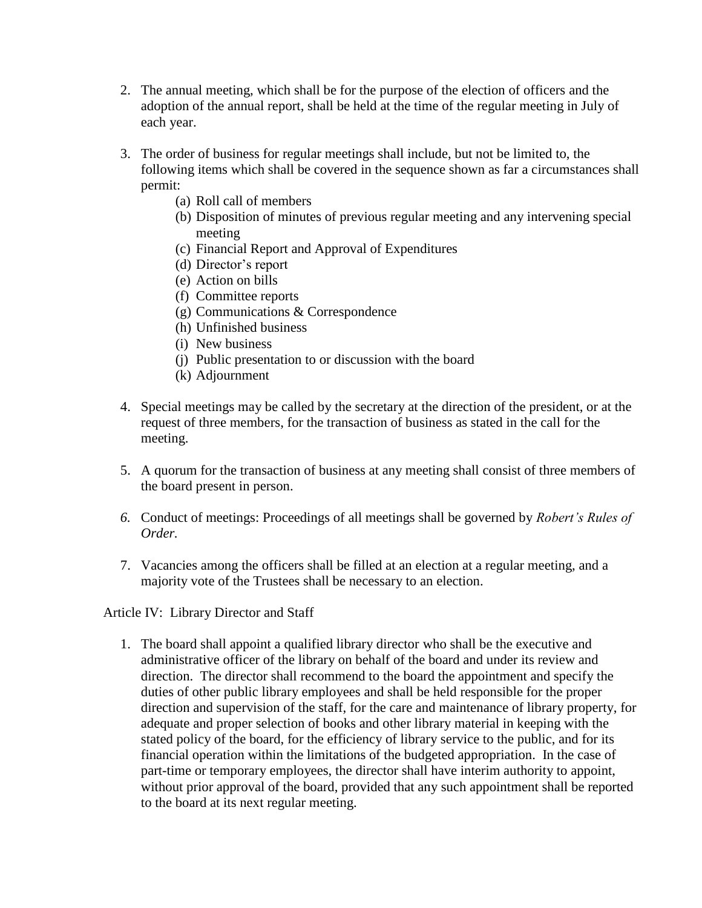- 2. The annual meeting, which shall be for the purpose of the election of officers and the adoption of the annual report, shall be held at the time of the regular meeting in July of each year.
- 3. The order of business for regular meetings shall include, but not be limited to, the following items which shall be covered in the sequence shown as far a circumstances shall permit:
	- (a) Roll call of members
	- (b) Disposition of minutes of previous regular meeting and any intervening special meeting
	- (c) Financial Report and Approval of Expenditures
	- (d) Director's report
	- (e) Action on bills
	- (f) Committee reports
	- (g) Communications & Correspondence
	- (h) Unfinished business
	- (i) New business
	- (j) Public presentation to or discussion with the board
	- (k) Adjournment
- 4. Special meetings may be called by the secretary at the direction of the president, or at the request of three members, for the transaction of business as stated in the call for the meeting.
- 5. A quorum for the transaction of business at any meeting shall consist of three members of the board present in person.
- *6.* Conduct of meetings: Proceedings of all meetings shall be governed by *Robert's Rules of Order.*
- 7. Vacancies among the officers shall be filled at an election at a regular meeting, and a majority vote of the Trustees shall be necessary to an election.

Article IV: Library Director and Staff

1. The board shall appoint a qualified library director who shall be the executive and administrative officer of the library on behalf of the board and under its review and direction. The director shall recommend to the board the appointment and specify the duties of other public library employees and shall be held responsible for the proper direction and supervision of the staff, for the care and maintenance of library property, for adequate and proper selection of books and other library material in keeping with the stated policy of the board, for the efficiency of library service to the public, and for its financial operation within the limitations of the budgeted appropriation. In the case of part-time or temporary employees, the director shall have interim authority to appoint, without prior approval of the board, provided that any such appointment shall be reported to the board at its next regular meeting.